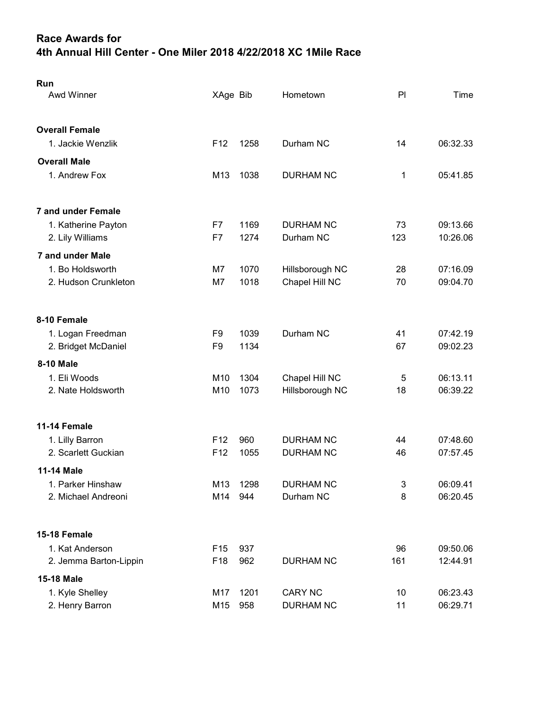## Race Awards for 4th Annual Hill Center - One Miler 2018 4/22/2018 XC 1Mile Race

| Run<br>Awd Winner         | XAge Bib        |      | Hometown         | PI  | Time     |
|---------------------------|-----------------|------|------------------|-----|----------|
| <b>Overall Female</b>     |                 |      |                  |     |          |
| 1. Jackie Wenzlik         | F <sub>12</sub> | 1258 | Durham NC        | 14  | 06:32.33 |
| <b>Overall Male</b>       |                 |      |                  |     |          |
| 1. Andrew Fox             | M13             | 1038 | <b>DURHAM NC</b> | 1   | 05:41.85 |
| <b>7 and under Female</b> |                 |      |                  |     |          |
| 1. Katherine Payton       | F7              | 1169 | <b>DURHAM NC</b> | 73  | 09:13.66 |
| 2. Lily Williams          | F7              | 1274 | Durham NC        | 123 | 10:26.06 |
| 7 and under Male          |                 |      |                  |     |          |
| 1. Bo Holdsworth          | M7              | 1070 | Hillsborough NC  | 28  | 07:16.09 |
| 2. Hudson Crunkleton      | M7              | 1018 | Chapel Hill NC   | 70  | 09:04.70 |
| 8-10 Female               |                 |      |                  |     |          |
| 1. Logan Freedman         | F9              | 1039 | Durham NC        | 41  | 07:42.19 |
| 2. Bridget McDaniel       | F9              | 1134 |                  | 67  | 09:02.23 |
| <b>8-10 Male</b>          |                 |      |                  |     |          |
| 1. Eli Woods              | M10             | 1304 | Chapel Hill NC   | 5   | 06:13.11 |
| 2. Nate Holdsworth        | M10             | 1073 | Hillsborough NC  | 18  | 06:39.22 |
| 11-14 Female              |                 |      |                  |     |          |
| 1. Lilly Barron           | F <sub>12</sub> | 960  | <b>DURHAM NC</b> | 44  | 07:48.60 |
| 2. Scarlett Guckian       | F <sub>12</sub> | 1055 | <b>DURHAM NC</b> | 46  | 07:57.45 |
| <b>11-14 Male</b>         |                 |      |                  |     |          |
| 1. Parker Hinshaw         | M13             | 1298 | <b>DURHAM NC</b> | 3   | 06:09.41 |
| 2. Michael Andreoni       | M14             | 944  | Durham NC        | 8   | 06:20.45 |
| 15-18 Female              |                 |      |                  |     |          |
| 1. Kat Anderson           | F <sub>15</sub> | 937  |                  | 96  | 09:50.06 |
| 2. Jemma Barton-Lippin    | F18             | 962  | <b>DURHAM NC</b> | 161 | 12:44.91 |
| <b>15-18 Male</b>         |                 |      |                  |     |          |
| 1. Kyle Shelley           | M17             | 1201 | <b>CARY NC</b>   | 10  | 06:23.43 |
| 2. Henry Barron           | M15             | 958  | <b>DURHAM NC</b> | 11  | 06:29.71 |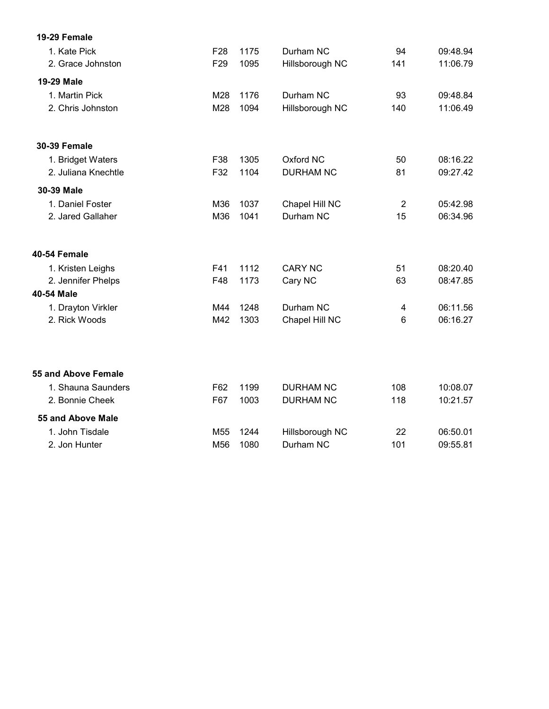| 19-29 Female        |                 |      |                  |                |          |
|---------------------|-----------------|------|------------------|----------------|----------|
| 1. Kate Pick        | F <sub>28</sub> | 1175 | Durham NC        | 94             | 09:48.94 |
| 2. Grace Johnston   | F <sub>29</sub> | 1095 | Hillsborough NC  | 141            | 11:06.79 |
| <b>19-29 Male</b>   |                 |      |                  |                |          |
| 1. Martin Pick      | M28             | 1176 | Durham NC        | 93             | 09:48.84 |
| 2. Chris Johnston   | M28             | 1094 | Hillsborough NC  | 140            | 11:06.49 |
| <b>30-39 Female</b> |                 |      |                  |                |          |
| 1. Bridget Waters   | F38             | 1305 | Oxford NC        | 50             | 08:16.22 |
| 2. Juliana Knechtle | F32             | 1104 | <b>DURHAM NC</b> | 81             | 09:27.42 |
| 30-39 Male          |                 |      |                  |                |          |
| 1. Daniel Foster    | M36             | 1037 | Chapel Hill NC   | $\overline{2}$ | 05:42.98 |
| 2. Jared Gallaher   | M36             | 1041 | Durham NC        | 15             | 06:34.96 |
| 40-54 Female        |                 |      |                  |                |          |
| 1. Kristen Leighs   | F41             | 1112 | <b>CARY NC</b>   | 51             | 08:20.40 |
| 2. Jennifer Phelps  | F48             | 1173 | Cary NC          | 63             | 08:47.85 |
| 40-54 Male          |                 |      |                  |                |          |
| 1. Drayton Virkler  | M44             | 1248 | Durham NC        | 4              | 06:11.56 |
| 2. Rick Woods       | M42             | 1303 | Chapel Hill NC   | 6              | 06:16.27 |
| 55 and Above Female |                 |      |                  |                |          |
| 1. Shauna Saunders  | F62             | 1199 | <b>DURHAM NC</b> | 108            | 10:08.07 |
| 2. Bonnie Cheek     | F67             | 1003 | <b>DURHAM NC</b> | 118            | 10:21.57 |
| 55 and Above Male   |                 |      |                  |                |          |
| 1. John Tisdale     | M55             | 1244 | Hillsborough NC  | 22             | 06:50.01 |
| 2. Jon Hunter       | M56             | 1080 | Durham NC        | 101            | 09:55.81 |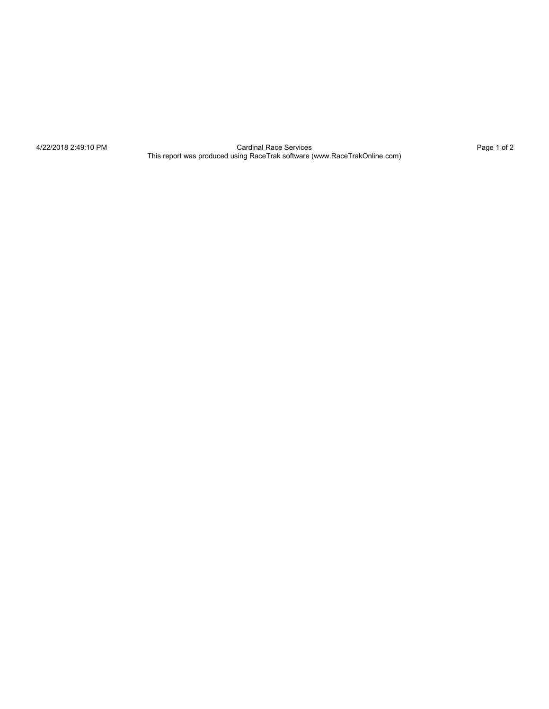4/22/2018 2:49:10 PM Cardinal Race Services Page 1 of 2 This report was produced using RaceTrak software (www.RaceTrakOnline.com)